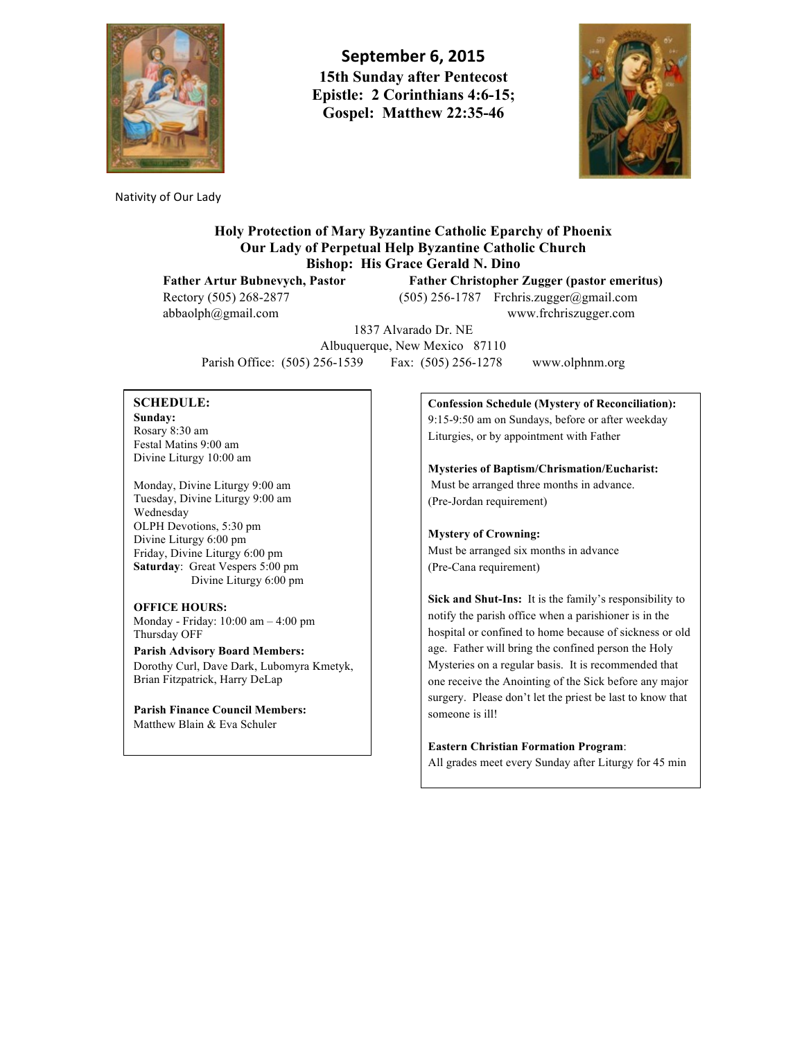

Nativity of Our Lady

**September 6, 2015 15th Sunday after Pentecost Epistle: 2 Corinthians 4:6-15; Gospel: Matthew 22:35-46**



## **Holy Protection of Mary Byzantine Catholic Eparchy of Phoenix Our Lady of Perpetual Help Byzantine Catholic Church Bishop: His Grace Gerald N. Dino**

abbaolph@gmail.com www.frchriszugger.com

**Father Artur Bubnevych, Pastor Father Christopher Zugger (pastor emeritus)** Rectory (505) 268-2877 (505) 256-1787 Frchris.zugger@gmail.com

1837 Alvarado Dr. NE

Albuquerque, New Mexico 87110 Parish Office: (505) 256-1539 Fax: (505) 256-1278 www.olphnm.org

### **SCHEDULE:**

**Sunday:** Rosary 8:30 am Festal Matins 9:00 am Divine Liturgy 10:00 am

Monday, Divine Liturgy 9:00 am Tuesday, Divine Liturgy 9:00 am Wednesday OLPH Devotions, 5:30 pm Divine Liturgy 6:00 pm Friday, Divine Liturgy 6:00 pm **Saturday**: Great Vespers 5:00 pm Divine Liturgy 6:00 pm

## **OFFICE HOURS:**

Monday - Friday: 10:00 am – 4:00 pm Thursday OFF

**Parish Advisory Board Members:** Dorothy Curl, Dave Dark, Lubomyra Kmetyk, Brian Fitzpatrick, Harry DeLap

**Parish Finance Council Members:** Matthew Blain & Eva Schuler

**Confession Schedule (Mystery of Reconciliation):** 9:15-9:50 am on Sundays, before or after weekday Liturgies, or by appointment with Father

**Mysteries of Baptism/Chrismation/Eucharist:** Must be arranged three months in advance. (Pre-Jordan requirement)

#### **Mystery of Crowning:**

Must be arranged six months in advance (Pre-Cana requirement)

**Sick and Shut-Ins:** It is the family's responsibility to notify the parish office when a parishioner is in the hospital or confined to home because of sickness or old age. Father will bring the confined person the Holy Mysteries on a regular basis. It is recommended that one receive the Anointing of the Sick before any major surgery. Please don't let the priest be last to know that someone is ill!

## **Eastern Christian Formation Program**:

All grades meet every Sunday after Liturgy for 45 min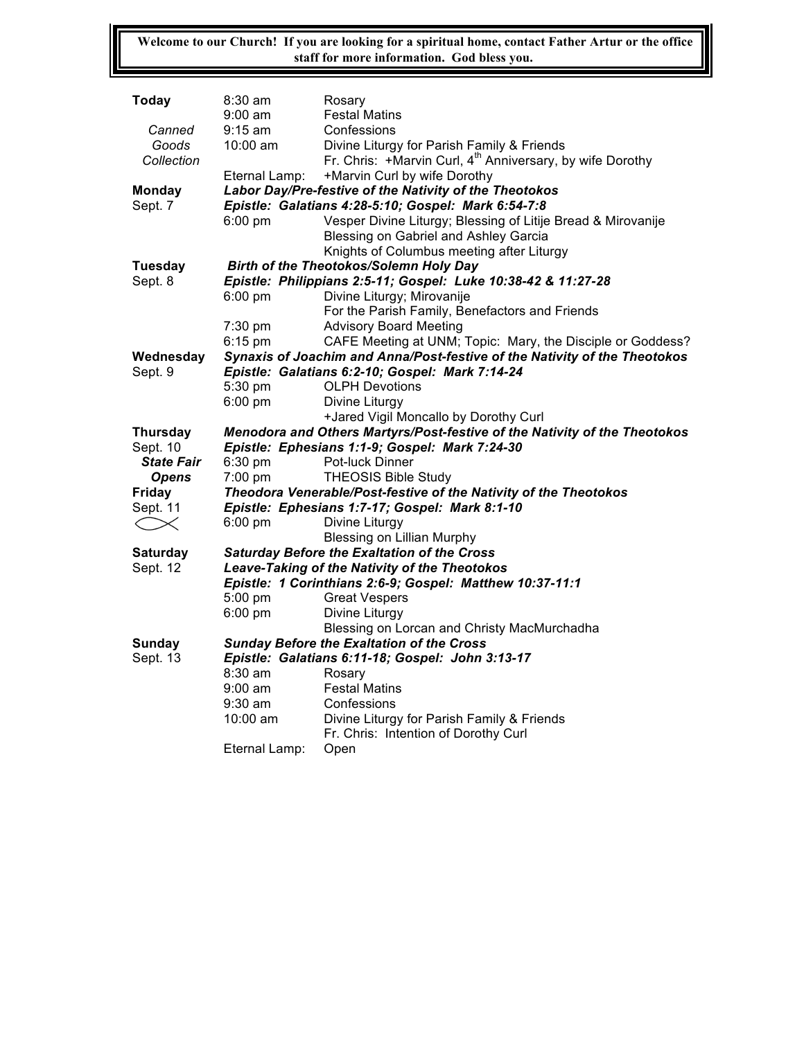**Welcome to our Church! If you are looking for a spiritual home, contact Father Artur or the office staff for more information. God bless you.**

| <b>Today</b>          | $8:30$ am                                                                 | Rosary                                                                |  |  |  |
|-----------------------|---------------------------------------------------------------------------|-----------------------------------------------------------------------|--|--|--|
|                       | $9:00$ am                                                                 | <b>Festal Matins</b>                                                  |  |  |  |
| Canned                | $9:15 \text{ am}$                                                         | Confessions                                                           |  |  |  |
| Goods                 | $10:00$ am                                                                | Divine Liturgy for Parish Family & Friends                            |  |  |  |
| Collection            |                                                                           | Fr. Chris: +Marvin Curl, 4 <sup>th</sup> Anniversary, by wife Dorothy |  |  |  |
| Eternal Lamp:         |                                                                           | +Marvin Curl by wife Dorothy                                          |  |  |  |
| <b>Monday</b>         |                                                                           | Labor Day/Pre-festive of the Nativity of the Theotokos                |  |  |  |
| Sept. 7               | Epistle: Galatians 4:28-5:10; Gospel: Mark 6:54-7:8                       |                                                                       |  |  |  |
|                       | 6:00 pm                                                                   | Vesper Divine Liturgy; Blessing of Litije Bread & Mirovanije          |  |  |  |
|                       |                                                                           | Blessing on Gabriel and Ashley Garcia                                 |  |  |  |
|                       |                                                                           | Knights of Columbus meeting after Liturgy                             |  |  |  |
| <b>Tuesday</b>        | <b>Birth of the Theotokos/Solemn Holy Day</b>                             |                                                                       |  |  |  |
| Sept. 8               | Epistle: Philippians 2:5-11; Gospel: Luke 10:38-42 & 11:27-28             |                                                                       |  |  |  |
|                       | $6:00$ pm                                                                 | Divine Liturgy; Mirovanije                                            |  |  |  |
|                       |                                                                           | For the Parish Family, Benefactors and Friends                        |  |  |  |
|                       | 7:30 pm                                                                   | <b>Advisory Board Meeting</b>                                         |  |  |  |
|                       | $6:15$ pm                                                                 | CAFE Meeting at UNM; Topic: Mary, the Disciple or Goddess?            |  |  |  |
| Wednesday             | Synaxis of Joachim and Anna/Post-festive of the Nativity of the Theotokos |                                                                       |  |  |  |
| Sept. 9               | Epistle: Galatians 6:2-10; Gospel: Mark 7:14-24                           |                                                                       |  |  |  |
|                       | 5:30 pm                                                                   | <b>OLPH Devotions</b>                                                 |  |  |  |
|                       | $6:00$ pm<br>Divine Liturgy                                               |                                                                       |  |  |  |
|                       |                                                                           | +Jared Vigil Moncallo by Dorothy Curl                                 |  |  |  |
| <b>Thursday</b>       | Menodora and Others Martyrs/Post-festive of the Nativity of the Theotokos |                                                                       |  |  |  |
| Sept. 10              | Epistle: Ephesians 1:1-9; Gospel: Mark 7:24-30                            |                                                                       |  |  |  |
| <b>State Fair</b>     | 6:30 pm                                                                   | Pot-luck Dinner                                                       |  |  |  |
| <b>Opens</b>          | 7:00 pm                                                                   | <b>THEOSIS Bible Study</b>                                            |  |  |  |
|                       | Theodora Venerable/Post-festive of the Nativity of the Theotokos          |                                                                       |  |  |  |
| <b>Friday</b>         |                                                                           |                                                                       |  |  |  |
| Sept. 11              |                                                                           | Epistle: Ephesians 1:7-17; Gospel: Mark 8:1-10                        |  |  |  |
| $\boldsymbol{\times}$ | $6:00$ pm                                                                 | Divine Liturgy                                                        |  |  |  |
|                       |                                                                           | <b>Blessing on Lillian Murphy</b>                                     |  |  |  |
| <b>Saturday</b>       |                                                                           | <b>Saturday Before the Exaltation of the Cross</b>                    |  |  |  |
| Sept. 12              |                                                                           | Leave-Taking of the Nativity of the Theotokos                         |  |  |  |
|                       |                                                                           | Epistle: 1 Corinthians 2:6-9; Gospel: Matthew 10:37-11:1              |  |  |  |
|                       | 5:00 pm                                                                   | <b>Great Vespers</b>                                                  |  |  |  |
|                       | 6:00 pm                                                                   | Divine Liturgy                                                        |  |  |  |
|                       |                                                                           | Blessing on Lorcan and Christy MacMurchadha                           |  |  |  |
| Sunday                |                                                                           | <b>Sunday Before the Exaltation of the Cross</b>                      |  |  |  |
| Sept. 13              |                                                                           | Epistle: Galatians 6:11-18; Gospel: John 3:13-17                      |  |  |  |
|                       | 8:30 am                                                                   | Rosary                                                                |  |  |  |
|                       | $9:00$ am                                                                 | <b>Festal Matins</b>                                                  |  |  |  |
|                       | $9:30$ am                                                                 | Confessions                                                           |  |  |  |
|                       | $10:00$ am                                                                | Divine Liturgy for Parish Family & Friends                            |  |  |  |
|                       |                                                                           | Fr. Chris: Intention of Dorothy Curl                                  |  |  |  |
|                       | Eternal Lamp:                                                             | Open                                                                  |  |  |  |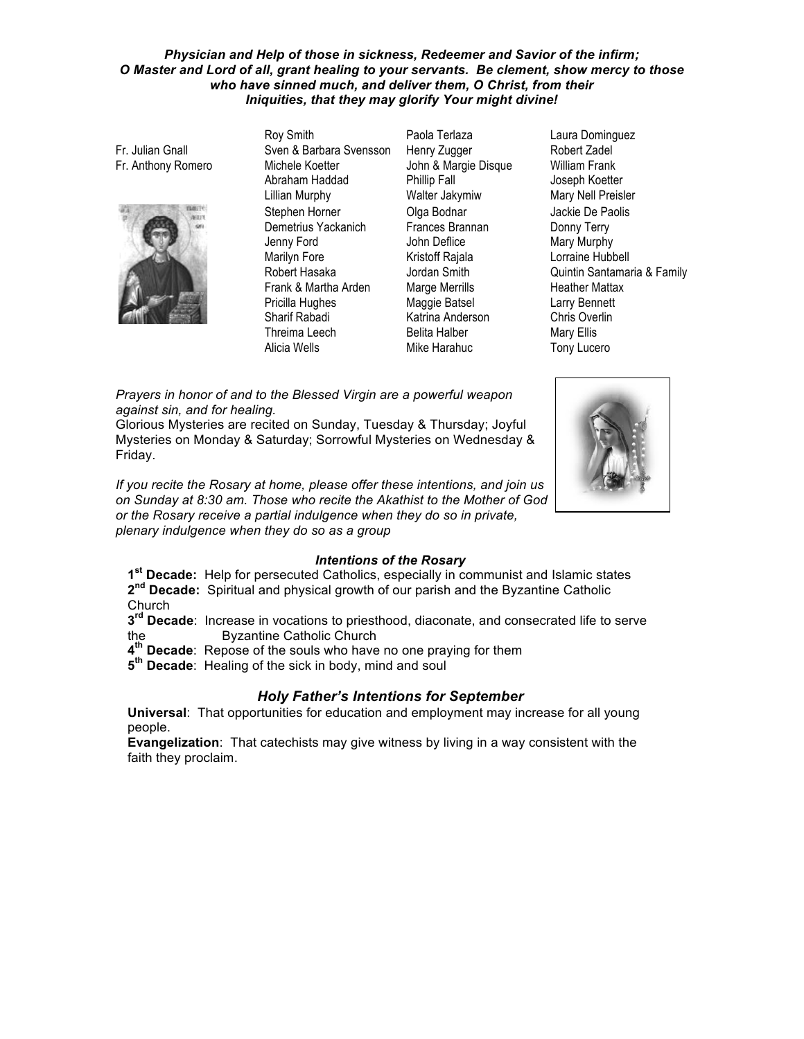### *Physician and Help of those in sickness, Redeemer and Savior of the infirm; O Master and Lord of all, grant healing to your servants. Be clement, show mercy to those who have sinned much, and deliver them, O Christ, from their Iniquities, that they may glorify Your might divine!*

Fr. Julian Gnall Fr. Anthony Romero



Roy Smith Sven & Barbara Svensson Michele Koetter Abraham Haddad Lillian Murphy Stephen Horner Demetrius Yackanich Jenny Ford Marilyn Fore Robert Hasaka Frank & Martha Arden Pricilla Hughes Sharif Rabadi Threima Leech Alicia Wells **Mike Harahuc** Tony Lucero

Paola Terlaza Henry Zugger John & Margie Disque Phillip Fall Walter Jakymiw Olga Bodnar Frances Brannan John Deflice Kristoff Rajala Jordan Smith Marge Merrills Maggie Batsel Katrina Anderson Belita Halber

Laura Dominguez Robert Zadel William Frank Joseph Koetter Mary Nell Preisler Jackie De Paolis Donny Terry Mary Murphy Lorraine Hubbell Quintin Santamaria & Family Heather Mattax Larry Bennett Chris Overlin Mary Ellis

*Prayers in honor of and to the Blessed Virgin are a powerful weapon against sin, and for healing.* 

Glorious Mysteries are recited on Sunday, Tuesday & Thursday; Joyful Mysteries on Monday & Saturday; Sorrowful Mysteries on Wednesday & Friday.

*If you recite the Rosary at home, please offer these intentions, and join us on Sunday at 8:30 am. Those who recite the Akathist to the Mother of God or the Rosary receive a partial indulgence when they do so in private, plenary indulgence when they do so as a group*



## *Intentions of the Rosary*

**1st Decade:** Help for persecuted Catholics, especially in communist and Islamic states **2nd Decade:** Spiritual and physical growth of our parish and the Byzantine Catholic Church

**3rd Decade**: Increase in vocations to priesthood, diaconate, and consecrated life to serve the Byzantine Catholic Church

**4th Decade**: Repose of the souls who have no one praying for them

**5th Decade**: Healing of the sick in body, mind and soul

## *Holy Father's Intentions for September*

**Universal**: That opportunities for education and employment may increase for all young people.

**Evangelization**: That catechists may give witness by living in a way consistent with the faith they proclaim.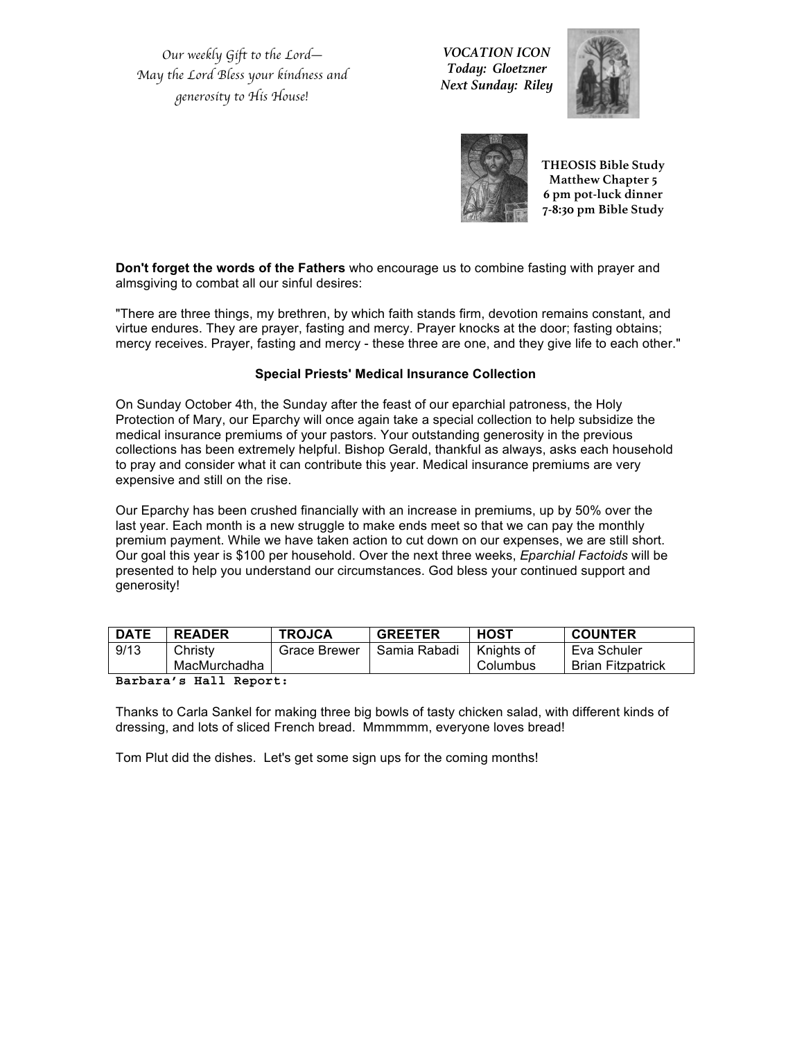*Our weekly Gift to the Lord*— *May the Lord Bless your kindness and generosity to His House!*

*VOCATION ICON Today: Gloetzner Next Sunday: Riley* 





**THEOSIS Bible Study Matthew Chapter 5 6 pm pot-luck dinner 7-8:30 pm Bible Study**

**Don't forget the words of the Fathers** who encourage us to combine fasting with prayer and almsgiving to combat all our sinful desires:

"There are three things, my brethren, by which faith stands firm, devotion remains constant, and virtue endures. They are prayer, fasting and mercy. Prayer knocks at the door; fasting obtains; mercy receives. Prayer, fasting and mercy - these three are one, and they give life to each other."

## **Special Priests' Medical Insurance Collection**

On Sunday October 4th, the Sunday after the feast of our eparchial patroness, the Holy Protection of Mary, our Eparchy will once again take a special collection to help subsidize the medical insurance premiums of your pastors. Your outstanding generosity in the previous collections has been extremely helpful. Bishop Gerald, thankful as always, asks each household to pray and consider what it can contribute this year. Medical insurance premiums are very expensive and still on the rise.

Our Eparchy has been crushed financially with an increase in premiums, up by 50% over the last year. Each month is a new struggle to make ends meet so that we can pay the monthly premium payment. While we have taken action to cut down on our expenses, we are still short. Our goal this year is \$100 per household. Over the next three weeks, *Eparchial Factoids* will be presented to help you understand our circumstances. God bless your continued support and generosity!

| <b>DATE</b> | <b>READER</b> | <b>TROJCA</b>       | <b>GREETER</b> | HOST         | <b>COUNTER</b>           |
|-------------|---------------|---------------------|----------------|--------------|--------------------------|
| 9/13        | Christy       | <b>Grace Brewer</b> | l Samia Rabadi | l Knights of | Eva Schuler              |
|             | MacMurchadha  |                     |                | Columbus     | <b>Brian Fitzpatrick</b> |
| $D = -1$    |               |                     |                |              |                          |

#### **Barbara's Hall Report:**

Thanks to Carla Sankel for making three big bowls of tasty chicken salad, with different kinds of dressing, and lots of sliced French bread. Mmmmmm, everyone loves bread!

Tom Plut did the dishes. Let's get some sign ups for the coming months!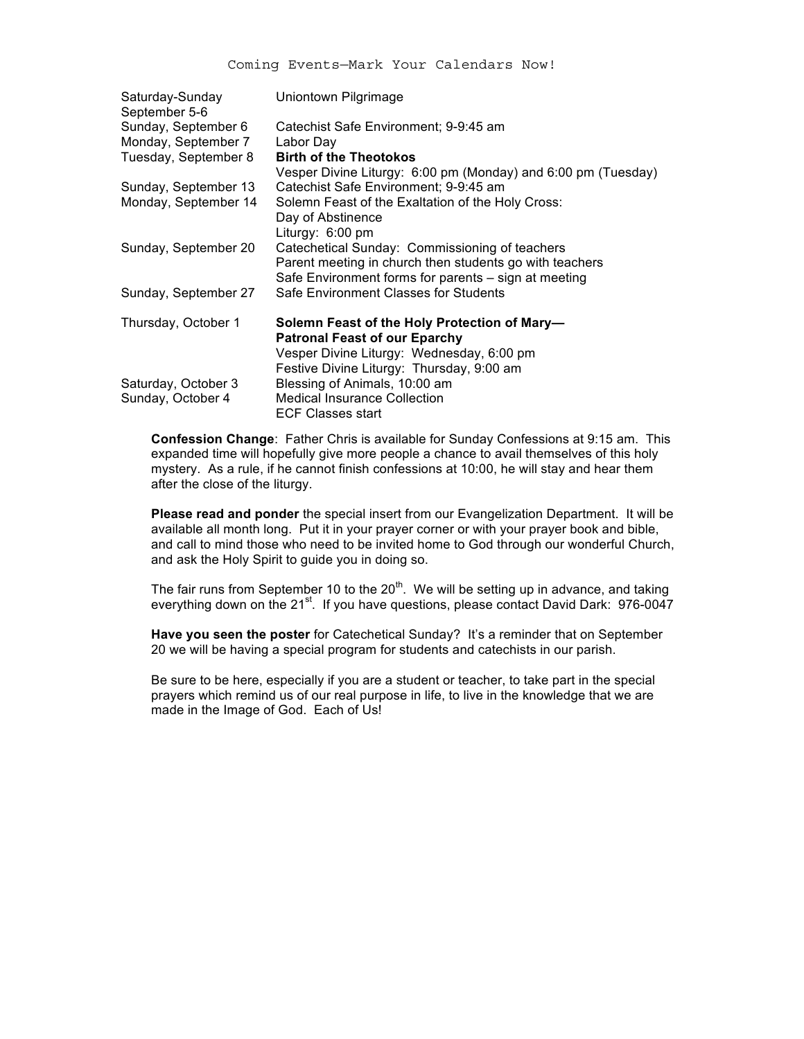| Saturday-Sunday<br>September 5-6 | Uniontown Pilgrimage                                          |
|----------------------------------|---------------------------------------------------------------|
| Sunday, September 6              | Catechist Safe Environment; 9-9:45 am                         |
| Monday, September 7              | Labor Day                                                     |
| Tuesday, September 8             | <b>Birth of the Theotokos</b>                                 |
|                                  | Vesper Divine Liturgy: 6:00 pm (Monday) and 6:00 pm (Tuesday) |
| Sunday, September 13             | Catechist Safe Environment; 9-9:45 am                         |
| Monday, September 14             | Solemn Feast of the Exaltation of the Holy Cross:             |
|                                  | Day of Abstinence                                             |
|                                  | Liturgy: 6:00 pm                                              |
| Sunday, September 20             | Catechetical Sunday: Commissioning of teachers                |
|                                  | Parent meeting in church then students go with teachers       |
|                                  | Safe Environment forms for parents – sign at meeting          |
| Sunday, September 27             | Safe Environment Classes for Students                         |
| Thursday, October 1              | Solemn Feast of the Holy Protection of Mary-                  |
|                                  | <b>Patronal Feast of our Eparchy</b>                          |
|                                  | Vesper Divine Liturgy: Wednesday, 6:00 pm                     |
|                                  | Festive Divine Liturgy: Thursday, 9:00 am                     |
| Saturday, October 3              | Blessing of Animals, 10:00 am                                 |
| Sunday, October 4                | <b>Medical Insurance Collection</b>                           |
|                                  | <b>ECF Classes start</b>                                      |

**Confession Change**: Father Chris is available for Sunday Confessions at 9:15 am. This expanded time will hopefully give more people a chance to avail themselves of this holy mystery. As a rule, if he cannot finish confessions at 10:00, he will stay and hear them after the close of the liturgy.

**Please read and ponder** the special insert from our Evangelization Department. It will be available all month long. Put it in your prayer corner or with your prayer book and bible, and call to mind those who need to be invited home to God through our wonderful Church, and ask the Holy Spirit to guide you in doing so.

The fair runs from September 10 to the  $20<sup>th</sup>$ . We will be setting up in advance, and taking everything down on the 21<sup>st</sup>. If you have questions, please contact David Dark: 976-0047

**Have you seen the poster** for Catechetical Sunday? It's a reminder that on September 20 we will be having a special program for students and catechists in our parish.

Be sure to be here, especially if you are a student or teacher, to take part in the special prayers which remind us of our real purpose in life, to live in the knowledge that we are made in the Image of God. Each of Us!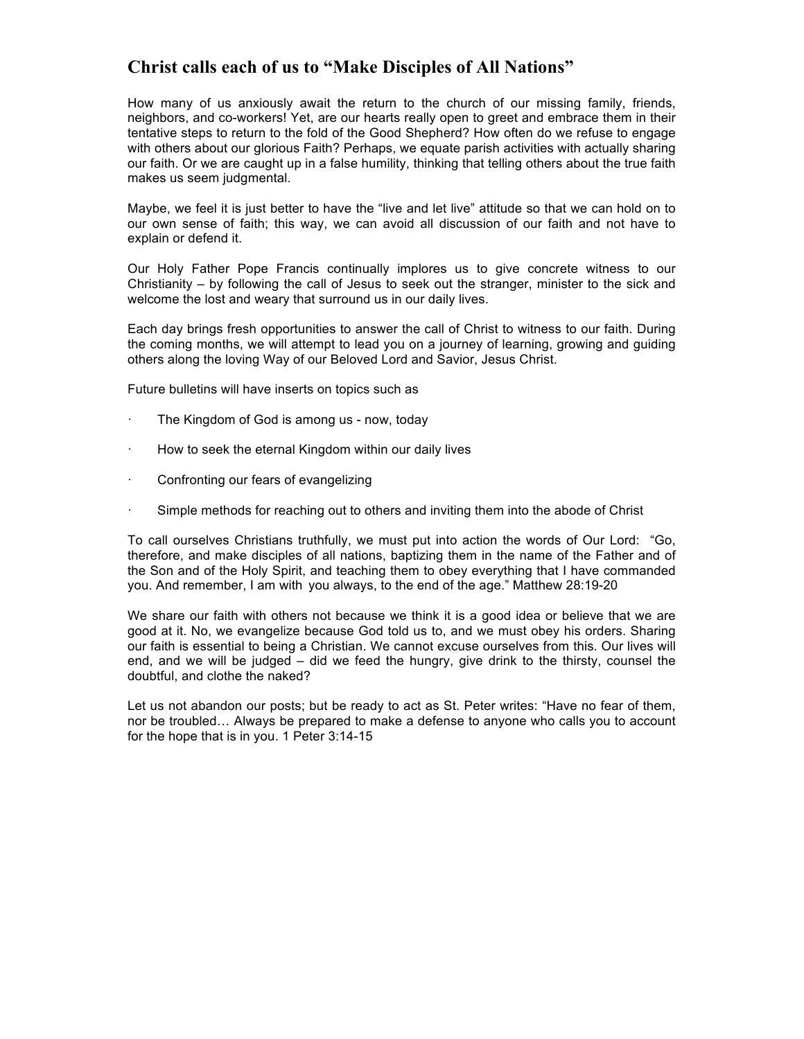# **Christ calls each of us to "Make Disciples of All Nations"**

How many of us anxiously await the return to the church of our missing family, friends, neighbors, and co-workers! Yet, are our hearts really open to greet and embrace them in their tentative steps to return to the fold of the Good Shepherd? How often do we refuse to engage with others about our glorious Faith? Perhaps, we equate parish activities with actually sharing our faith. Or we are caught up in a false humility, thinking that telling others about the true faith makes us seem judgmental.

Maybe, we feel it is just better to have the "live and let live" attitude so that we can hold on to our own sense of faith; this way, we can avoid all discussion of our faith and not have to explain or defend it.

Our Holy Father Pope Francis continually implores us to give concrete witness to our Christianity – by following the call of Jesus to seek out the stranger, minister to the sick and welcome the lost and weary that surround us in our daily lives.

Each day brings fresh opportunities to answer the call of Christ to witness to our faith. During the coming months, we will attempt to lead you on a journey of learning, growing and guiding others along the loving Way of our Beloved Lord and Savior, Jesus Christ.

Future bulletins will have inserts on topics such as

- The Kingdom of God is among us now, today
- · How to seek the eternal Kingdom within our daily lives
- · Confronting our fears of evangelizing
- Simple methods for reaching out to others and inviting them into the abode of Christ

To call ourselves Christians truthfully, we must put into action the words of Our Lord: "Go, therefore, and make disciples of all nations, baptizing them in the name of the Father and of the Son and of the Holy Spirit, and teaching them to obey everything that I have commanded you. And remember, I am with you always, to the end of the age." Matthew 28:19-20

We share our faith with others not because we think it is a good idea or believe that we are good at it. No, we evangelize because God told us to, and we must obey his orders. Sharing our faith is essential to being a Christian. We cannot excuse ourselves from this. Our lives will end, and we will be judged – did we feed the hungry, give drink to the thirsty, counsel the doubtful, and clothe the naked?

Let us not abandon our posts; but be ready to act as St. Peter writes: "Have no fear of them, nor be troubled… Always be prepared to make a defense to anyone who calls you to account for the hope that is in you. 1 Peter 3:14-15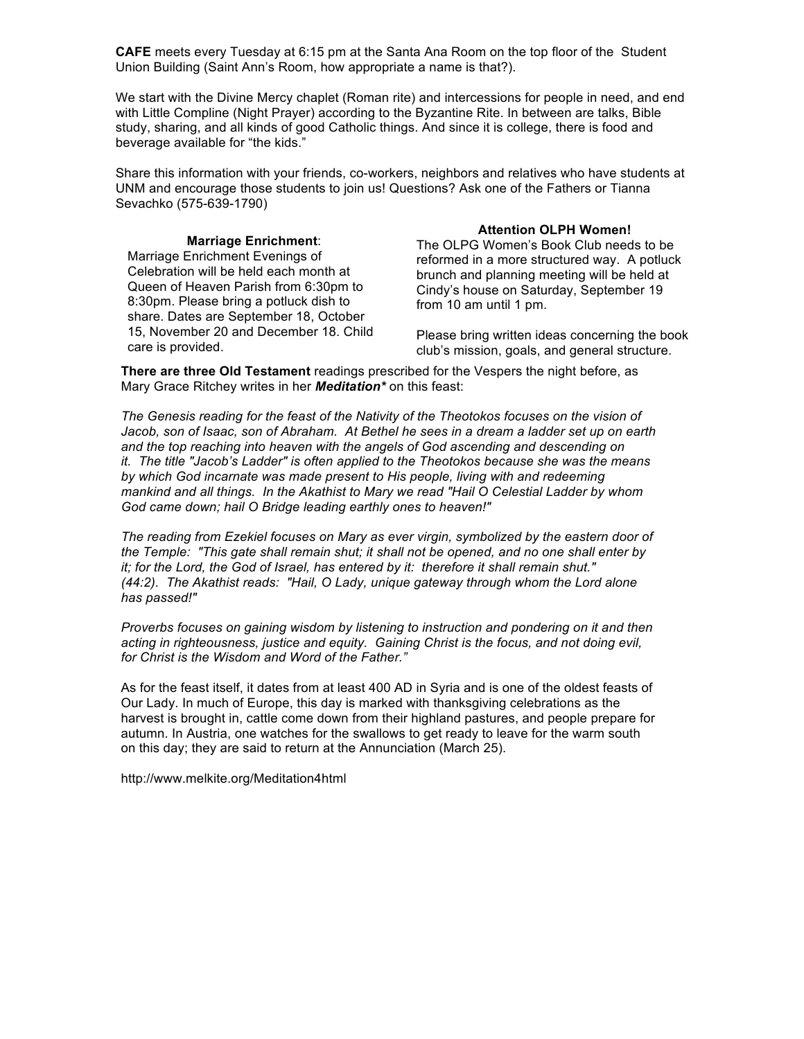**CAFE** meets every Tuesday at 6:15 pm at the Santa Ana Room on the top floor of the Student Union Building (Saint Ann's Room, how appropriate a name is that?).

We start with the Divine Mercy chaplet (Roman rite) and intercessions for people in need, and end with Little Compline (Night Prayer) according to the Byzantine Rite. In between are talks, Bible study, sharing, and all kinds of good Catholic things. And since it is college, there is food and beverage available for "the kids."

Share this information with your friends, co-workers, neighbors and relatives who have students at UNM and encourage those students to join us! Questions? Ask one of the Fathers or Tianna Sevachko (575-639-1790)

**Marriage Enrichment**: Marriage Enrichment Evenings of Celebration will be held each month at Queen of Heaven Parish from 6:30pm to 8:30pm. Please bring a potluck dish to share. Dates are September 18, October 15, November 20 and December 18. Child care is provided.

#### **Attention OLPH Women!**

The OLPG Women's Book Club needs to be reformed in a more structured way. A potluck brunch and planning meeting will be held at Cindy's house on Saturday, September 19 from 10 am until 1 pm.

Please bring written ideas concerning the book club's mission, goals, and general structure.

**There are three Old Testament** readings prescribed for the Vespers the night before, as Mary Grace Ritchey writes in her *Meditation\** on this feast:

*The Genesis reading for the feast of the Nativity of the Theotokos focuses on the vision of Jacob, son of Isaac, son of Abraham. At Bethel he sees in a dream a ladder set up on earth and the top reaching into heaven with the angels of God ascending and descending on it. The title "Jacob's Ladder" is often applied to the Theotokos because she was the means by which God incarnate was made present to His people, living with and redeeming mankind and all things. In the Akathist to Mary we read "Hail O Celestial Ladder by whom God came down; hail O Bridge leading earthly ones to heaven!"*

*The reading from Ezekiel focuses on Mary as ever virgin, symbolized by the eastern door of the Temple: "This gate shall remain shut; it shall not be opened, and no one shall enter by it; for the Lord, the God of Israel, has entered by it: therefore it shall remain shut." (44:2). The Akathist reads: "Hail, O Lady, unique gateway through whom the Lord alone has passed!"* 

*Proverbs focuses on gaining wisdom by listening to instruction and pondering on it and then acting in righteousness, justice and equity. Gaining Christ is the focus, and not doing evil, for Christ is the Wisdom and Word of the Father."*

As for the feast itself, it dates from at least 400 AD in Syria and is one of the oldest feasts of Our Lady. In much of Europe, this day is marked with thanksgiving celebrations as the harvest is brought in, cattle come down from their highland pastures, and people prepare for autumn. In Austria, one watches for the swallows to get ready to leave for the warm south on this day; they are said to return at the Annunciation (March 25).

http://www.melkite.org/Meditation4html